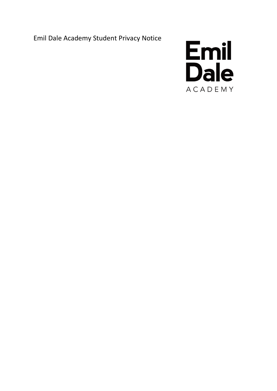Emil Dale Academy Student Privacy Notice

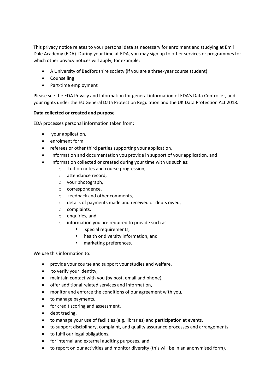This privacy notice relates to your personal data as necessary for enrolment and studying at Emil Dale Academy (EDA). During your time at EDA, you may sign up to other services or programmes for which other privacy notices will apply, for example:

- A University of Bedfordshire society (if you are a three-year course student)
- Counselling
- Part-time employment

Please see the EDA Privacy and Information for general information of EDA's Data Controller, and your rights under the EU General Data Protection Regulation and the UK Data Protection Act 2018.

### **Data collected or created and purpose**

EDA processes personal information taken from:

- your application,
- enrolment form,
- referees or other third parties supporting your application,
- information and documentation you provide in support of your application, and
- information collected or created during your time with us such as:
	- o tuition notes and course progression,
	- o attendance record,
	- o your photograph,
	- o correspondence,
	- o feedback and other comments,
	- o details of payments made and received or debts owed,
	- o complaints,
	- o enquiries, and
	- o information you are required to provide such as:
		- special requirements,
		- health or diversity information, and
		- marketing preferences.

We use this information to:

- provide your course and support your studies and welfare,
- to verify your identity,
- maintain contact with you (by post, email and phone),
- offer additional related services and information,
- monitor and enforce the conditions of our agreement with you,
- to manage payments,
- for credit scoring and assessment,
- debt tracing,
- to manage your use of facilities (e.g. libraries) and participation at events,
- to support disciplinary, complaint, and quality assurance processes and arrangements,
- to fulfil our legal obligations,
- for internal and external auditing purposes, and
- to report on our activities and monitor diversity (this will be in an anonymised form).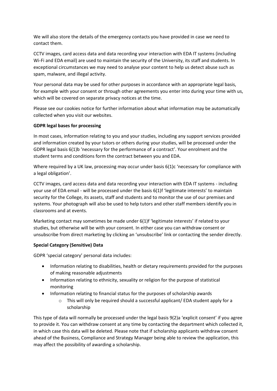We will also store the details of the emergency contacts you have provided in case we need to contact them.

CCTV images, card access data and data recording your interaction with EDA IT systems (including Wi-Fi and EDA email) are used to maintain the security of the University, its staff and students. In exceptional circumstances we may need to analyse your content to help us detect abuse such as spam, malware, and illegal activity.

Your personal data may be used for other purposes in accordance with an appropriate legal basis, for example with your consent or through other agreements you enter into during your time with us, which will be covered on separate privacy notices at the time.

Please see our cookies notice for further information about what information may be automatically collected when you visit our websites.

# **GDPR legal bases for processing**

In most cases, information relating to you and your studies, including any support services provided and information created by your tutors or others during your studies, will be processed under the GDPR legal basis 6(1)b 'necessary for the performance of a contract'. Your enrolment and the student terms and conditions form the contract between you and EDA.

Where required by a UK law, processing may occur under basis 6(1)c 'necessary for compliance with a legal obligation'.

CCTV images, card access data and data recording your interaction with EDA IT systems - including your use of EDA email - will be processed under the basis 6(1)f 'legitimate interests' to maintain security for the College, its assets, staff and students and to monitor the use of our premises and systems. Your photograph will also be used to help tutors and other staff members identify you in classrooms and at events.

Marketing contact may sometimes be made under 6(1)f 'legitimate interests' if related to your studies, but otherwise will be with your consent. In either case you can withdraw consent or unsubscribe from direct marketing by clicking an 'unsubscribe' link or contacting the sender directly.

## **Special Category (Sensitive) Data**

GDPR 'special category' personal data includes:

- Information relating to disabilities, health or dietary requirements provided for the purposes of making reasonable adjustments
- Information relating to ethnicity, sexuality or religion for the purpose of statistical monitoring
- Information relating to financial status for the purposes of scholarship awards
	- $\circ$  This will only be required should a successful applicant/EDA student apply for a scholarship

This type of data will normally be processed under the legal basis 9(2)a 'explicit consent' if you agree to provide it. You can withdraw consent at any time by contacting the department which collected it, in which case this data will be deleted. Please note that if scholarship applicants withdraw consent ahead of the Business, Compliance and Strategy Manager being able to review the application, this may affect the possibility of awarding a scholarship.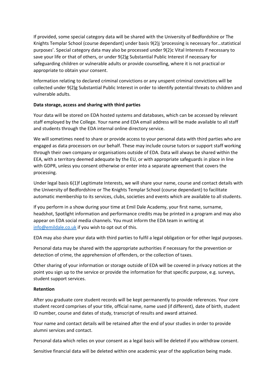If provided, some special category data will be shared with the University of Bedfordshire or The Knights Templar School (course dependant) under basis 9(2)j 'processing is necessary for…statistical purposes'. Special category data may also be processed under 9(2)c Vital Interests if necessary to save your life or that of others, or under 9(2)g Substantial Public Interest if necessary for safeguarding children or vulnerable adults or provide counselling, where it is not practical or appropriate to obtain your consent.

Information relating to declared criminal convictions or any unspent criminal convictions will be collected under 9(2)g Substantial Public Interest in order to identify potential threats to children and vulnerable adults.

### **Data storage, access and sharing with third parties**

Your data will be stored on EDA hosted systems and databases, which can be accessed by relevant staff employed by the College. Your name and EDA email address will be made available to all staff and students through the EDA internal online directory service.

We will sometimes need to share or provide access to your personal data with third parties who are engaged as data processors on our behalf. These may include course tutors or support staff working through their own company or organisations outside of EDA. Data will always be shared within the EEA, with a territory deemed adequate by the EU, or with appropriate safeguards in place in line with GDPR, unless you consent otherwise or enter into a separate agreement that covers the processing.

Under legal basis 6(1)f Legitimate Interests, we will share your name, course and contact details with the University of Bedfordshire or The Knights Templar School (course dependant) to facilitate automatic membership to its services, clubs, societies and events which are available to all students.

If you perform in a show during your time at Emil Dale Academy, your first name, surname, headshot, Spotlight information and performance credits may be printed in a program and may also appear on EDA social media channels. You must inform the EDA team in writing at [info@emildale.co.uk](mailto:info@emildale.co..uk) if you wish to opt out of this.

EDA may also share your data with third parties to fulfil a legal obligation or for other legal purposes.

Personal data may be shared with the appropriate authorities if necessary for the prevention or detection of crime, the apprehension of offenders, or the collection of taxes.

Other sharing of your information or storage outside of EDA will be covered in privacy notices at the point you sign up to the service or provide the information for that specific purpose, e.g. surveys, student support services.

#### **Retention**

After you graduate core student records will be kept permanently to provide references. Your core student record comprises of your title, official name, name used (if different), date of birth, student ID number, course and dates of study, transcript of results and award attained.

Your name and contact details will be retained after the end of your studies in order to provide alumni services and contact.

Personal data which relies on your consent as a legal basis will be deleted if you withdraw consent.

Sensitive financial data will be deleted within one academic year of the application being made.